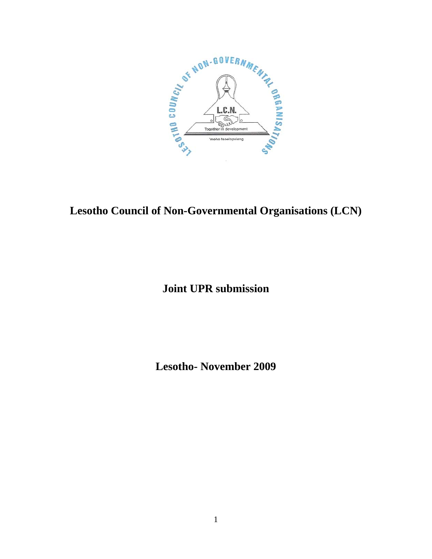

# **Lesotho Council of Non-Governmental Organisations (LCN)**

# **Joint UPR submission**

**Lesotho- November 2009**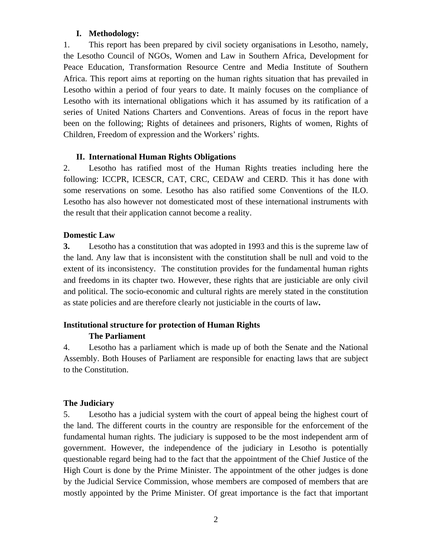#### **I. Methodology:**

1. This report has been prepared by civil society organisations in Lesotho, namely, the Lesotho Council of NGOs, Women and Law in Southern Africa, Development for Peace Education, Transformation Resource Centre and Media Institute of Southern Africa. This report aims at reporting on the human rights situation that has prevailed in Lesotho within a period of four years to date. It mainly focuses on the compliance of Lesotho with its international obligations which it has assumed by its ratification of a series of United Nations Charters and Conventions. Areas of focus in the report have been on the following; Rights of detainees and prisoners, Rights of women, Rights of Children, Freedom of expression and the Workers' rights.

### **II. International Human Rights Obligations**

2. Lesotho has ratified most of the Human Rights treaties including here the following: ICCPR, ICESCR, CAT, CRC, CEDAW and CERD. This it has done with some reservations on some. Lesotho has also ratified some Conventions of the ILO. Lesotho has also however not domesticated most of these international instruments with the result that their application cannot become a reality.

### **Domestic Law**

**3.** Lesotho has a constitution that was adopted in 1993 and this is the supreme law of the land. Any law that is inconsistent with the constitution shall be null and void to the extent of its inconsistency. The constitution provides for the fundamental human rights and freedoms in its chapter two. However, these rights that are justiciable are only civil and political. The socio-economic and cultural rights are merely stated in the constitution as state policies and are therefore clearly not justiciable in the courts of law**.** 

## **Institutional structure for protection of Human Rights**

## **The Parliament**

4. Lesotho has a parliament which is made up of both the Senate and the National Assembly. Both Houses of Parliament are responsible for enacting laws that are subject to the Constitution.

## **The Judiciary**

5. Lesotho has a judicial system with the court of appeal being the highest court of the land. The different courts in the country are responsible for the enforcement of the fundamental human rights. The judiciary is supposed to be the most independent arm of government. However, the independence of the judiciary in Lesotho is potentially questionable regard being had to the fact that the appointment of the Chief Justice of the High Court is done by the Prime Minister. The appointment of the other judges is done by the Judicial Service Commission, whose members are composed of members that are mostly appointed by the Prime Minister. Of great importance is the fact that important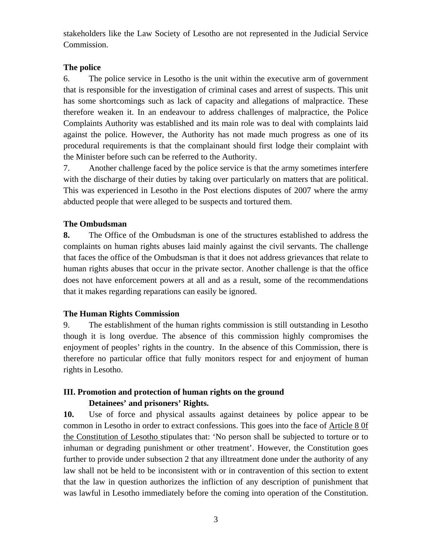stakeholders like the Law Society of Lesotho are not represented in the Judicial Service Commission.

## **The police**

6. The police service in Lesotho is the unit within the executive arm of government that is responsible for the investigation of criminal cases and arrest of suspects. This unit has some shortcomings such as lack of capacity and allegations of malpractice. These therefore weaken it. In an endeavour to address challenges of malpractice, the Police Complaints Authority was established and its main role was to deal with complaints laid against the police. However, the Authority has not made much progress as one of its procedural requirements is that the complainant should first lodge their complaint with the Minister before such can be referred to the Authority.

7. Another challenge faced by the police service is that the army sometimes interfere with the discharge of their duties by taking over particularly on matters that are political. This was experienced in Lesotho in the Post elections disputes of 2007 where the army abducted people that were alleged to be suspects and tortured them.

## **The Ombudsman**

**8.** The Office of the Ombudsman is one of the structures established to address the complaints on human rights abuses laid mainly against the civil servants. The challenge that faces the office of the Ombudsman is that it does not address grievances that relate to human rights abuses that occur in the private sector. Another challenge is that the office does not have enforcement powers at all and as a result, some of the recommendations that it makes regarding reparations can easily be ignored.

## **The Human Rights Commission**

9. The establishment of the human rights commission is still outstanding in Lesotho though it is long overdue. The absence of this commission highly compromises the enjoyment of peoples' rights in the country. In the absence of this Commission, there is therefore no particular office that fully monitors respect for and enjoyment of human rights in Lesotho.

# **III. Promotion and protection of human rights on the ground Detainees' and prisoners' Rights.**

**10.** Use of force and physical assaults against detainees by police appear to be common in Lesotho in order to extract confessions. This goes into the face of Article 8 0f the Constitution of Lesotho stipulates that: 'No person shall be subjected to torture or to inhuman or degrading punishment or other treatment'. However, the Constitution goes further to provide under subsection 2 that any illtreatment done under the authority of any law shall not be held to be inconsistent with or in contravention of this section to extent that the law in question authorizes the infliction of any description of punishment that was lawful in Lesotho immediately before the coming into operation of the Constitution.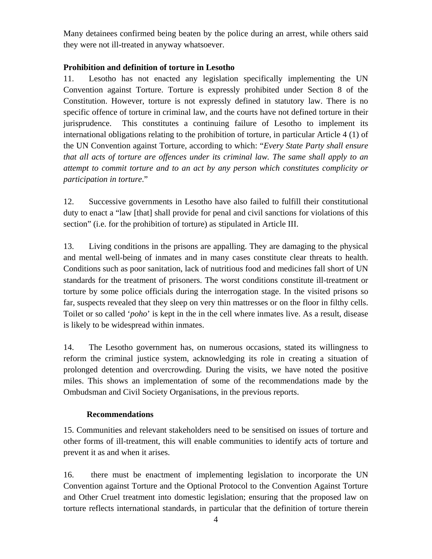Many detainees confirmed being beaten by the police during an arrest, while others said they were not ill-treated in anyway whatsoever.

## **Prohibition and definition of torture in Lesotho**

11. Lesotho has not enacted any legislation specifically implementing the UN Convention against Torture. Torture is expressly prohibited under Section 8 of the Constitution. However, torture is not expressly defined in statutory law. There is no specific offence of torture in criminal law, and the courts have not defined torture in their jurisprudence. This constitutes a continuing failure of Lesotho to implement its international obligations relating to the prohibition of torture, in particular Article 4 (1) of the UN Convention against Torture, according to which: "*Every State Party shall ensure that all acts of torture are offences under its criminal law. The same shall apply to an attempt to commit torture and to an act by any person which constitutes complicity or participation in torture*."

12. Successive governments in Lesotho have also failed to fulfill their constitutional duty to enact a "law [that] shall provide for penal and civil sanctions for violations of this section" (i.e. for the prohibition of torture) as stipulated in Article III.

13. Living conditions in the prisons are appalling. They are damaging to the physical and mental well-being of inmates and in many cases constitute clear threats to health. Conditions such as poor sanitation, lack of nutritious food and medicines fall short of UN standards for the treatment of prisoners. The worst conditions constitute ill-treatment or torture by some police officials during the interrogation stage. In the visited prisons so far, suspects revealed that they sleep on very thin mattresses or on the floor in filthy cells. Toilet or so called '*poho*' is kept in the in the cell where inmates live. As a result, disease is likely to be widespread within inmates.

14. The Lesotho government has, on numerous occasions, stated its willingness to reform the criminal justice system, acknowledging its role in creating a situation of prolonged detention and overcrowding. During the visits, we have noted the positive miles. This shows an implementation of some of the recommendations made by the Ombudsman and Civil Society Organisations, in the previous reports.

## **Recommendations**

15. Communities and relevant stakeholders need to be sensitised on issues of torture and other forms of ill-treatment, this will enable communities to identify acts of torture and prevent it as and when it arises.

16. there must be enactment of implementing legislation to incorporate the UN Convention against Torture and the Optional Protocol to the Convention Against Torture and Other Cruel treatment into domestic legislation; ensuring that the proposed law on torture reflects international standards, in particular that the definition of torture therein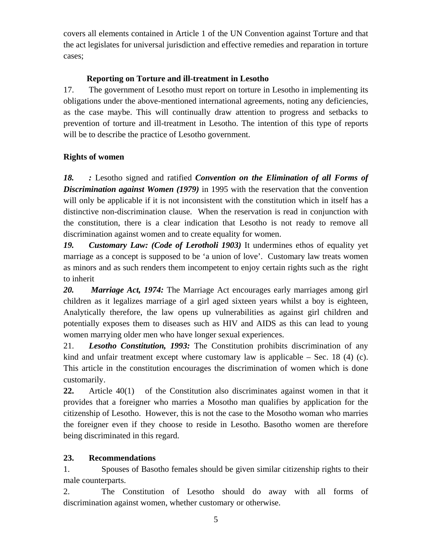covers all elements contained in Article 1 of the UN Convention against Torture and that the act legislates for universal jurisdiction and effective remedies and reparation in torture cases;

## **Reporting on Torture and ill-treatment in Lesotho**

17. The government of Lesotho must report on torture in Lesotho in implementing its obligations under the above-mentioned international agreements, noting any deficiencies, as the case maybe. This will continually draw attention to progress and setbacks to prevention of torture and ill-treatment in Lesotho. The intention of this type of reports will be to describe the practice of Lesotho government.

# **Rights of women**

*18. :* Lesotho signed and ratified *Convention on the Elimination of all Forms of Discrimination against Women (1979)* in 1995 with the reservation that the convention will only be applicable if it is not inconsistent with the constitution which in itself has a distinctive non-discrimination clause. When the reservation is read in conjunction with the constitution, there is a clear indication that Lesotho is not ready to remove all discrimination against women and to create equality for women.

*19. Customary Law: (Code of Lerotholi 1903)* It undermines ethos of equality yet marriage as a concept is supposed to be 'a union of love'. Customary law treats women as minors and as such renders them incompetent to enjoy certain rights such as the right to inherit

*20. Marriage Act, 1974:* The Marriage Act encourages early marriages among girl children as it legalizes marriage of a girl aged sixteen years whilst a boy is eighteen, Analytically therefore, the law opens up vulnerabilities as against girl children and potentially exposes them to diseases such as HIV and AIDS as this can lead to young women marrying older men who have longer sexual experiences.

21. *Lesotho Constitution, 1993:* The Constitution prohibits discrimination of any kind and unfair treatment except where customary law is applicable  $-$  Sec. 18 (4) (c). This article in the constitution encourages the discrimination of women which is done customarily.

**22.** Article 40(1) of the Constitution also discriminates against women in that it provides that a foreigner who marries a Mosotho man qualifies by application for the citizenship of Lesotho. However, this is not the case to the Mosotho woman who marries the foreigner even if they choose to reside in Lesotho. Basotho women are therefore being discriminated in this regard.

# **23. Recommendations**

1. Spouses of Basotho females should be given similar citizenship rights to their male counterparts.

2. The Constitution of Lesotho should do away with all forms of discrimination against women, whether customary or otherwise.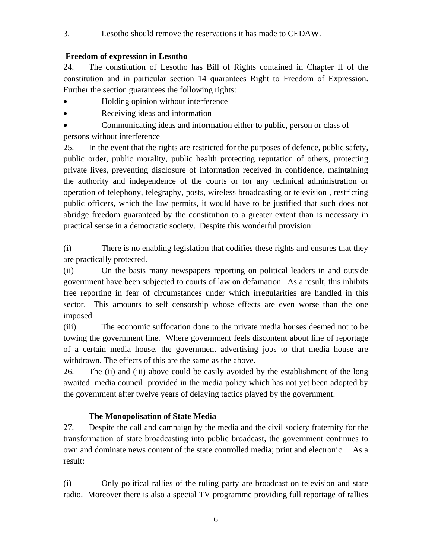3. Lesotho should remove the reservations it has made to CEDAW.

# **Freedom of expression in Lesotho**

24. The constitution of Lesotho has Bill of Rights contained in Chapter II of the constitution and in particular section 14 quarantees Right to Freedom of Expression. Further the section guarantees the following rights:

- Holding opinion without interference
- Receiving ideas and information
- Communicating ideas and information either to public, person or class of persons without interference

25. In the event that the rights are restricted for the purposes of defence, public safety, public order, public morality, public health protecting reputation of others, protecting private lives, preventing disclosure of information received in confidence, maintaining the authority and independence of the courts or for any technical administration or operation of telephony, telegraphy, posts, wireless broadcasting or television , restricting public officers, which the law permits, it would have to be justified that such does not abridge freedom guaranteed by the constitution to a greater extent than is necessary in practical sense in a democratic society. Despite this wonderful provision:

(i) There is no enabling legislation that codifies these rights and ensures that they are practically protected.

(ii) On the basis many newspapers reporting on political leaders in and outside government have been subjected to courts of law on defamation. As a result, this inhibits free reporting in fear of circumstances under which irregularities are handled in this sector. This amounts to self censorship whose effects are even worse than the one imposed.

(iii) The economic suffocation done to the private media houses deemed not to be towing the government line. Where government feels discontent about line of reportage of a certain media house, the government advertising jobs to that media house are withdrawn. The effects of this are the same as the above.

26. The (ii) and (iii) above could be easily avoided by the establishment of the long awaited media council provided in the media policy which has not yet been adopted by the government after twelve years of delaying tactics played by the government.

# **The Monopolisation of State Media**

27. Despite the call and campaign by the media and the civil society fraternity for the transformation of state broadcasting into public broadcast, the government continues to own and dominate news content of the state controlled media; print and electronic. As a result:

(i) Only political rallies of the ruling party are broadcast on television and state radio. Moreover there is also a special TV programme providing full reportage of rallies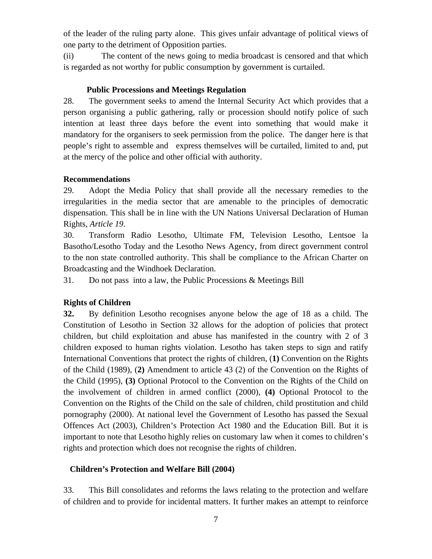of the leader of the ruling party alone. This gives unfair advantage of political views of one party to the detriment of Opposition parties.

(ii) The content of the news going to media broadcast is censored and that which is regarded as not worthy for public consumption by government is curtailed.

## **Public Processions and Meetings Regulation**

28. The government seeks to amend the Internal Security Act which provides that a person organising a public gathering, rally or procession should notify police of such intention at least three days before the event into something that would make it mandatory for the organisers to seek permission from the police. The danger here is that people's right to assemble and express themselves will be curtailed, limited to and, put at the mercy of the police and other official with authority.

### **Recommendations**

29. Adopt the Media Policy that shall provide all the necessary remedies to the irregularities in the media sector that are amenable to the principles of democratic dispensation. This shall be in line with the UN Nations Universal Declaration of Human Rights, *Article 19*.

30. Transform Radio Lesotho, Ultimate FM, Television Lesotho, Lentsoe la Basotho/Lesotho Today and the Lesotho News Agency, from direct government control to the non state controlled authority. This shall be compliance to the African Charter on Broadcasting and the Windhoek Declaration.

31. Do not pass into a law, the Public Processions & Meetings Bill

## **Rights of Children**

**32.** By definition Lesotho recognises anyone below the age of 18 as a child. The Constitution of Lesotho in Section 32 allows for the adoption of policies that protect children, but child exploitation and abuse has manifested in the country with 2 of 3 children exposed to human rights violation. Lesotho has taken steps to sign and ratify International Conventions that protect the rights of children, (**1)** Convention on the Rights of the Child (1989), (**2)** Amendment to article 43 (2) of the Convention on the Rights of the Child (1995), **(3)** Optional Protocol to the Convention on the Rights of the Child on the involvement of children in armed conflict (2000), **(4)** Optional Protocol to the Convention on the Rights of the Child on the sale of children, child prostitution and child pornography (2000). At national level the Government of Lesotho has passed the Sexual Offences Act (2003), Children's Protection Act 1980 and the Education Bill. But it is important to note that Lesotho highly relies on customary law when it comes to children's rights and protection which does not recognise the rights of children.

## **Children's Protection and Welfare Bill (2004)**

33. This Bill consolidates and reforms the laws relating to the protection and welfare of children and to provide for incidental matters. It further makes an attempt to reinforce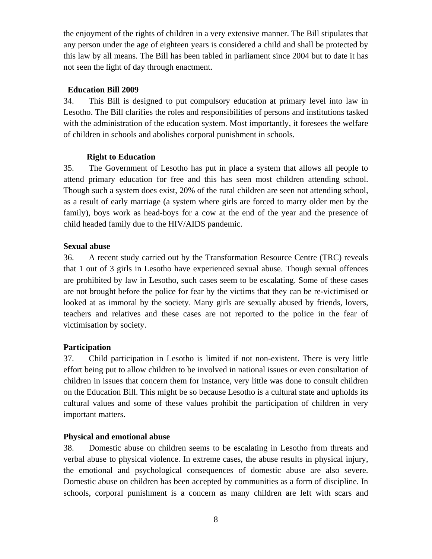the enjoyment of the rights of children in a very extensive manner. The Bill stipulates that any person under the age of eighteen years is considered a child and shall be protected by this law by all means. The Bill has been tabled in parliament since 2004 but to date it has not seen the light of day through enactment.

## **Education Bill 2009**

34. This Bill is designed to put compulsory education at primary level into law in Lesotho. The Bill clarifies the roles and responsibilities of persons and institutions tasked with the administration of the education system. Most importantly, it foresees the welfare of children in schools and abolishes corporal punishment in schools.

## **Right to Education**

35. The Government of Lesotho has put in place a system that allows all people to attend primary education for free and this has seen most children attending school. Though such a system does exist, 20% of the rural children are seen not attending school, as a result of early marriage (a system where girls are forced to marry older men by the family), boys work as head-boys for a cow at the end of the year and the presence of child headed family due to the HIV/AIDS pandemic.

### **Sexual abuse**

36. A recent study carried out by the Transformation Resource Centre (TRC) reveals that 1 out of 3 girls in Lesotho have experienced sexual abuse. Though sexual offences are prohibited by law in Lesotho, such cases seem to be escalating. Some of these cases are not brought before the police for fear by the victims that they can be re-victimised or looked at as immoral by the society. Many girls are sexually abused by friends, lovers, teachers and relatives and these cases are not reported to the police in the fear of victimisation by society.

## **Participation**

37. Child participation in Lesotho is limited if not non-existent. There is very little effort being put to allow children to be involved in national issues or even consultation of children in issues that concern them for instance, very little was done to consult children on the Education Bill. This might be so because Lesotho is a cultural state and upholds its cultural values and some of these values prohibit the participation of children in very important matters.

#### **Physical and emotional abuse**

38. Domestic abuse on children seems to be escalating in Lesotho from threats and verbal abuse to physical violence. In extreme cases, the abuse results in physical injury, the emotional and psychological consequences of domestic abuse are also severe. Domestic abuse on children has been accepted by communities as a form of discipline. In schools, corporal punishment is a concern as many children are left with scars and